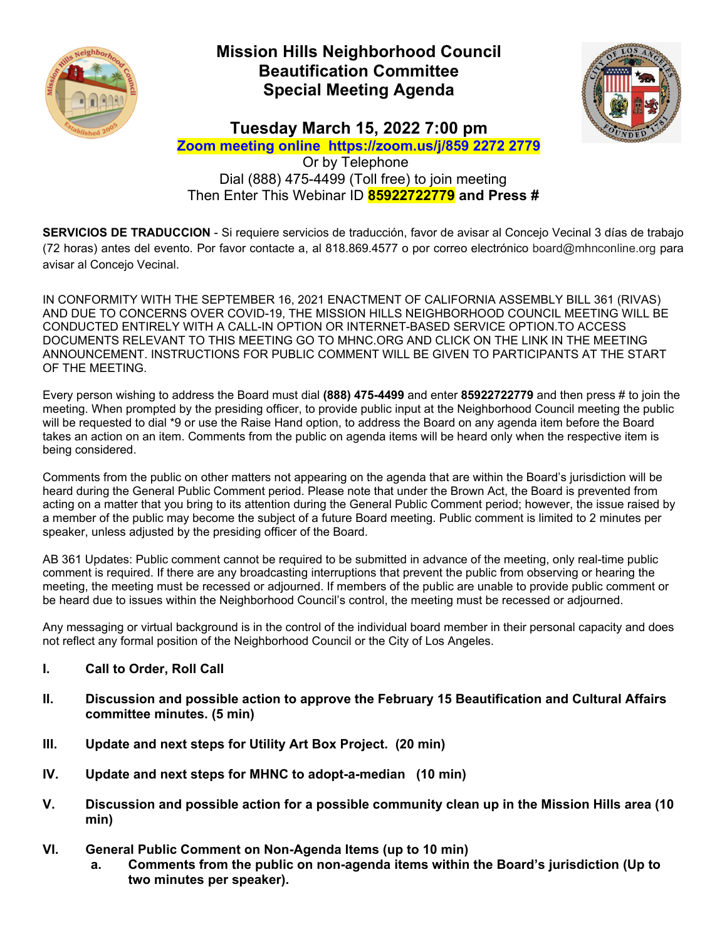

# **Mission Hills Neighborhood Council Beautification Committee Special Meeting Agenda**



**Tuesday March 15, 2022 7:00 pm** 

**Zoom meeting online https://zoom.us/j/859 2272 2779**  Or by Telephone Dial (888) 475-4499 (Toll free) to join meeting

Then Enter This Webinar ID **85922722779 and Press #** 

**SERVICIOS DE TRADUCCION** - Si requiere servicios de traducción, favor de avisar al Concejo Vecinal 3 días de trabajo (72 horas) antes del evento. Por favor contacte a, al 818.869.4577 o por correo electrónico board@mhnconline.org para avisar al Concejo Vecinal.

IN CONFORMITY WITH THE SEPTEMBER 16, 2021 ENACTMENT OF CALIFORNIA ASSEMBLY BILL 361 (RIVAS) AND DUE TO CONCERNS OVER COVID-19, THE MISSION HILLS NEIGHBORHOOD COUNCIL MEETING WILL BE CONDUCTED ENTIRELY WITH A CALL-IN OPTION OR INTERNET-BASED SERVICE OPTION.TO ACCESS DOCUMENTS RELEVANT TO THIS MEETING GO TO MHNC.ORG AND CLICK ON THE LINK IN THE MEETING ANNOUNCEMENT. INSTRUCTIONS FOR PUBLIC COMMENT WILL BE GIVEN TO PARTICIPANTS AT THE START OF THE MEETING.

Every person wishing to address the Board must dial **(888) 475-4499** and enter **85922722779** and then press # to join the meeting. When prompted by the presiding officer, to provide public input at the Neighborhood Council meeting the public will be requested to dial \*9 or use the Raise Hand option, to address the Board on any agenda item before the Board takes an action on an item. Comments from the public on agenda items will be heard only when the respective item is being considered.

Comments from the public on other matters not appearing on the agenda that are within the Board's jurisdiction will be heard during the General Public Comment period. Please note that under the Brown Act, the Board is prevented from acting on a matter that you bring to its attention during the General Public Comment period; however, the issue raised by a member of the public may become the subject of a future Board meeting. Public comment is limited to 2 minutes per speaker, unless adjusted by the presiding officer of the Board.

AB 361 Updates: Public comment cannot be required to be submitted in advance of the meeting, only real-time public comment is required. If there are any broadcasting interruptions that prevent the public from observing or hearing the meeting, the meeting must be recessed or adjourned. If members of the public are unable to provide public comment or be heard due to issues within the Neighborhood Council's control, the meeting must be recessed or adjourned.

Any messaging or virtual background is in the control of the individual board member in their personal capacity and does not reflect any formal position of the Neighborhood Council or the City of Los Angeles.

- **I. Call to Order, Roll Call**
- **II. Discussion and possible action to approve the February 15 Beautification and Cultural Affairs committee minutes. (5 min)**
- **III. Update and next steps for Utility Art Box Project. (20 min)**
- **IV. Update and next steps for MHNC to adopt-a-median (10 min)**
- **V. Discussion and possible action for a possible community clean up in the Mission Hills area (10 min)**
- **VI. General Public Comment on Non-Agenda Items (up to 10 min)** 
	- **a. Comments from the public on non-agenda items within the Board's jurisdiction (Up to two minutes per speaker).**